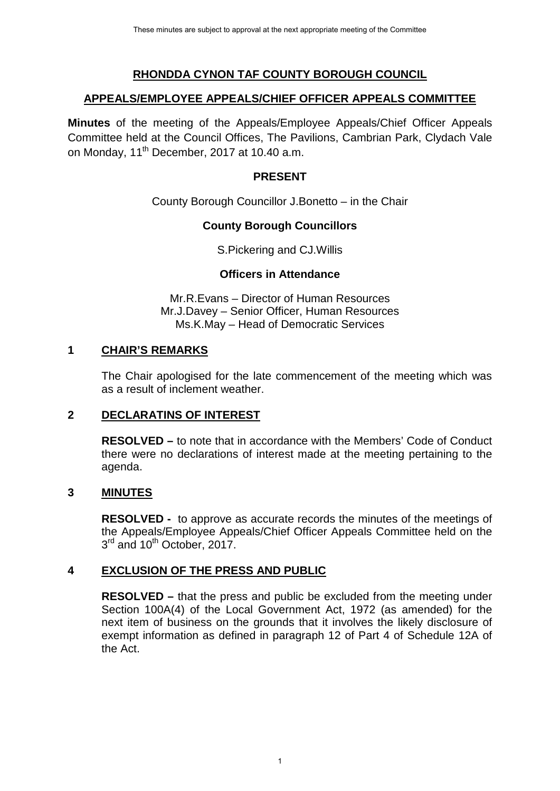## **RHONDDA CYNON TAF COUNTY BOROUGH COUNCIL**

#### **APPEALS/EMPLOYEE APPEALS/CHIEF OFFICER APPEALS COMMITTEE**

**Minutes** of the meeting of the Appeals/Employee Appeals/Chief Officer Appeals Committee held at the Council Offices, The Pavilions, Cambrian Park, Clydach Vale on Monday, 11<sup>th</sup> December, 2017 at 10.40 a.m.

### **PRESENT**

County Borough Councillor J.Bonetto – in the Chair

### **County Borough Councillors**

S.Pickering and CJ.Willis

### **Officers in Attendance**

Mr.R.Evans – Director of Human Resources Mr.J.Davey – Senior Officer, Human Resources Ms.K.May – Head of Democratic Services

### **1 CHAIR'S REMARKS**

The Chair apologised for the late commencement of the meeting which was as a result of inclement weather.

### **2 DECLARATINS OF INTEREST**

**RESOLVED –** to note that in accordance with the Members' Code of Conduct there were no declarations of interest made at the meeting pertaining to the agenda.

### **3 MINUTES**

**RESOLVED -** to approve as accurate records the minutes of the meetings of the Appeals/Employee Appeals/Chief Officer Appeals Committee held on the  $3<sup>rd</sup>$  and 10<sup>th</sup> October, 2017.

### **4 EXCLUSION OF THE PRESS AND PUBLIC**

**RESOLVED –** that the press and public be excluded from the meeting under Section 100A(4) of the Local Government Act, 1972 (as amended) for the next item of business on the grounds that it involves the likely disclosure of exempt information as defined in paragraph 12 of Part 4 of Schedule 12A of the Act.